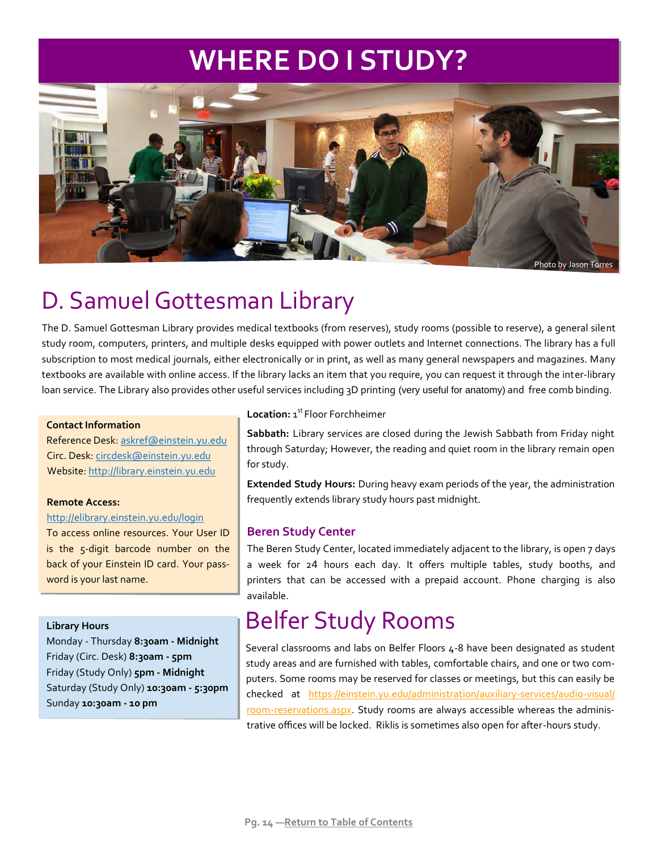# **WHERE DO I STUDY?**



Photo by Jason Torres

# D. Samuel Gottesman Library

The D. Samuel Gottesman Library provides medical textbooks (from reserves), study rooms (possible to reserve), a general silent study room, computers, printers, and multiple desks equipped with power outlets and Internet connections. The library has a full subscription to most medical journals, either electronically or in print, as well as many general newspapers and magazines. Many textbooks are available with online access. If the library lacks an item that you require, you can request it through the inter-library loan service. The Library also provides other useful services including 3D printing (very useful for anatomy) and free comb binding.

### **Contact Information**

Reference Desk: askref@einstein.yu.edu Circ. Desk: circdesk@einstein.yu.edu Website: http://library.einstein.yu.edu

### **Remote Access:**

### http://elibrary.einstein.yu.edu/login

To access online resources. Your User ID is the 5-digit barcode number on the back of your Einstein ID card. Your password is your last name.

### **Library Hours**

Monday - Thursday **͠:͛͘am - Midnight** Friday ȋCirc. DeskȌ **͠:͛͘am - ͝pm**  Friday ȋStudy OnlyȌ **͝pm - Midnight** Saturday (Study Only) 10:30am - 5:30pm Sunday 10:30am - 10 pm

### Location: 1<sup>st</sup> Floor Forchheimer

**Sabbath:** Library services are closed during the Jewish Sabbath from Friday night through Saturday; However, the reading and quiet room in the library remain open for study.

**Extended Study Hours:** During heavy exam periods of the year, the administration frequently extends library study hours past midnight.

## **Beren Study Center**

The Beren Study Center, located immediately adjacent to the library, is open 7 days a week for 24 hours each day. It offers multiple tables, study booths, and printers that can be accessed with a prepaid account. Phone charging is also available.

## Belfer Study Rooms

Several classrooms and labs on Belfer Floors 4-8 have been designated as student study areas and are furnished with tables, comfortable chairs, and one or two computers. Some rooms may be reserved for classes or meetings, but this can easily be checked at https://einstein.yu.edu/administration/auxiliary-services/audio-visual/ room-reservations.aspx. Study rooms are always accessible whereas the administrative offices will be locked. Riklis is sometimes also open for after-hours study.